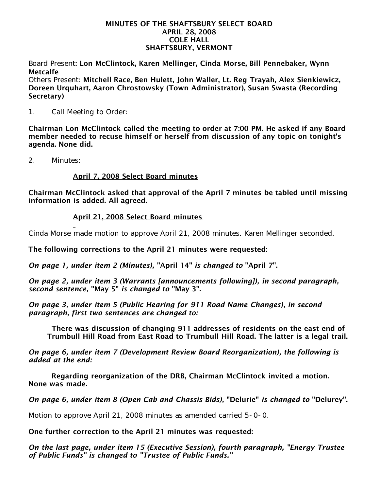#### MINUTES OF THE SHAFTSBURY SELECT BOARD APRIL 28, 2008 COLE HALL SHAFTSBURY, VERMONT

Board Present: Lon McClintock, Karen Mellinger, Cinda Morse, Bill Pennebaker, Wynn Metcalfe

Others Present: Mitchell Race, Ben Hulett, John Waller, Lt. Reg Trayah, Alex Sienkiewicz, Doreen Urquhart, Aaron Chrostowsky (Town Administrator), Susan Swasta (Recording Secretary)

1. Call Meeting to Order:

Chairman Lon McClintock called the meeting to order at 7:00 PM. He asked if any Board member needed to recuse himself or herself from discussion of any topic on tonight's agenda. None did.

2. Minutes:

## April 7, 2008 Select Board minutes

Chairman McClintock asked that approval of the April 7 minutes be tabled until missing information is added. All agreed.

## April 21, 2008 Select Board minutes

Cinda Morse made motion to approve April 21, 2008 minutes. Karen Mellinger seconded.

The following corrections to the April 21 minutes were requested:

*On page 1, under item 2 (Minutes),* "April 14" *is changed to* "April 7".

*On page 2, under item 3 (Warrants [announcements following]), in second paragraph, second sentence,* "May 5" *is changed to* "May 3".

*On page 3, under item 5 (Public Hearing for 911 Road Name Changes), in second paragraph, first two sentences are changed to:*

 There was discussion of changing 911 addresses of residents on the east end of Trumbull Hill Road from East Road to Trumbull Hill Road. The latter is a legal trail.

*On page 6, under item 7 (Development Review Board Reorganization), the following is added at the end:*

 Regarding reorganization of the DRB, Chairman McClintock invited a motion. None was made.

*On page 6, under item 8 (Open Cab and Chassis Bids),* "Delurie" *is changed to* "Delurey".

Motion to approve April 21, 2008 minutes as amended carried 5-0-0.

One further correction to the April 21 minutes was requested:

*On the last page, under item 15 (Executive Session), fourth paragraph, "Energy Trustee of Public Funds" is changed to "Trustee of Public Funds."*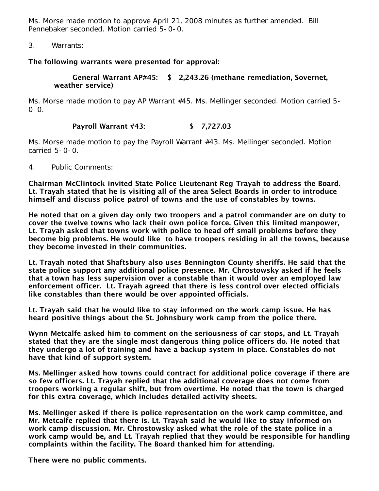Ms. Morse made motion to approve April 21, 2008 minutes as further amended. Bill Pennebaker seconded. Motion carried 5-0-0.

3. Warrants:

## The following warrants were presented for approval:

## General Warrant AP#45: \$ 2,243.26 (methane remediation, Sovernet, weather service)

Ms. Morse made motion to pay AP Warrant #45. Ms. Mellinger seconded. Motion carried 5- 0-0.

# Payroll Warrant #43: \$ 7,727.03

Ms. Morse made motion to pay the Payroll Warrant #43. Ms. Mellinger seconded. Motion carried 5-0-0.

4. Public Comments:

Chairman McClintock invited State Police Lieutenant Reg Trayah to address the Board. Lt. Trayah stated that he is visiting all of the area Select Boards in order to introduce himself and discuss police patrol of towns and the use of constables by towns.

He noted that on a given day only two troopers and a patrol commander are on duty to cover the twelve towns who lack their own police force. Given this limited manpower, Lt. Trayah asked that towns work with police to head off small problems before they become big problems. He would like to have troopers residing in all the towns, because they become invested in their communities.

Lt. Trayah noted that Shaftsbury also uses Bennington County sheriffs. He said that the state police support any additional police presence. Mr. Chrostowsky asked if he feels that a town has less supervision over a constable than it would over an employed law enforcement officer. Lt. Trayah agreed that there is less control over elected officials like constables than there would be over appointed officials.

Lt. Trayah said that he would like to stay informed on the work camp issue. He has heard positive things about the St. Johnsbury work camp from the police there.

Wynn Metcalfe asked him to comment on the seriousness of car stops, and Lt. Trayah stated that they are the single most dangerous thing police officers do. He noted that they undergo a lot of training and have a backup system in place. Constables do not have that kind of support system.

Ms. Mellinger asked how towns could contract for additional police coverage if there are so few officers. Lt. Trayah replied that the additional coverage does not come from troopers working a regular shift, but from overtime. He noted that the town is charged for this extra coverage, which includes detailed activity sheets.

Ms. Mellinger asked if there is police representation on the work camp committee, and Mr. Metcalfe replied that there is. Lt. Trayah said he would like to stay informed on work camp discussion. Mr. Chrostowsky asked what the role of the state police in a work camp would be, and Lt. Trayah replied that they would be responsible for handling complaints within the facility. The Board thanked him for attending.

There were no public comments.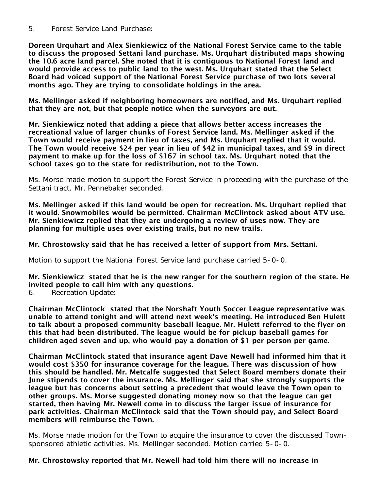5. Forest Service Land Purchase:

Doreen Urquhart and Alex Sienkiewicz of the National Forest Service came to the table to discuss the proposed Settani land purchase. Ms. Urquhart distributed maps showing the 10.6 acre land parcel. She noted that it is contiguous to National Forest land and would provide access to public land to the west. Ms. Urquhart stated that the Select Board had voiced support of the National Forest Service purchase of two lots several months ago. They are trying to consolidate holdings in the area.

Ms. Mellinger asked if neighboring homeowners are notified, and Ms. Urquhart replied that they are not, but that people notice when the surveyors are out.

Mr. Sienkiewicz noted that adding a piece that allows better access increases the recreational value of larger chunks of Forest Service land. Ms. Mellinger asked if the Town would receive payment in lieu of taxes, and Ms. Urquhart replied that it would. The Town would receive \$24 per year in lieu of \$42 in municipal taxes, and \$9 in direct payment to make up for the loss of \$167 in school tax. Ms. Urquhart noted that the school taxes go to the state for redistribution, not to the Town.

Ms. Morse made motion to support the Forest Service in proceeding with the purchase of the Settani tract. Mr. Pennebaker seconded.

Ms. Mellinger asked if this land would be open for recreation. Ms. Urquhart replied that it would. Snowmobiles would be permitted. Chairman McClintock asked about ATV use. Mr. Sienkiewicz replied that they are undergoing a review of uses now. They are planning for multiple uses over existing trails, but no new trails.

## Mr. Chrostowsky said that he has received a letter of support from Mrs. Settani.

Motion to support the National Forest Service land purchase carried 5-0-0.

Mr. Sienkiewicz stated that he is the new ranger for the southern region of the state. He invited people to call him with any questions.

6. Recreation Update:

Chairman McClintock stated that the Norshaft Youth Soccer League representative was unable to attend tonight and will attend next week's meeting. He introduced Ben Hulett to talk about a proposed community baseball league. Mr. Hulett referred to the flyer on this that had been distributed. The league would be for pickup baseball games for children aged seven and up, who would pay a donation of \$1 per person per game.

Chairman McClintock stated that insurance agent Dave Newell had informed him that it would cost \$350 for insurance coverage for the league. There was discussion of how this should be handled. Mr. Metcalfe suggested that Select Board members donate their June stipends to cover the insurance. Ms. Mellinger said that she strongly supports the league but has concerns about setting a precedent that would leave the Town open to other groups. Ms. Morse suggested donating money now so that the league can get started, then having Mr. Newell come in to discuss the larger issue of insurance for park activities. Chairman McClintock said that the Town should pay, and Select Board members will reimburse the Town.

Ms. Morse made motion for the Town to acquire the insurance to cover the discussed Townsponsored athletic activities. Ms. Mellinger seconded. Motion carried 5-0-0.

## Mr. Chrostowsky reported that Mr. Newell had told him there will no increase in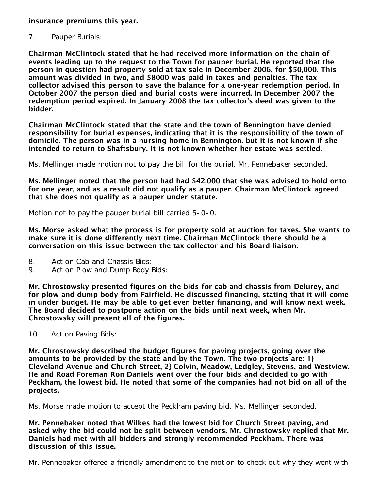insurance premiums this year.

7. Pauper Burials:

Chairman McClintock stated that he had received more information on the chain of events leading up to the request to the Town for pauper burial. He reported that the person in question had property sold at tax sale in December 2006, for \$50,000. This amount was divided in two, and \$8000 was paid in taxes and penalties. The tax collector advised this person to save the balance for a one-year redemption period. In October 2007 the person died and burial costs were incurred. In December 2007 the redemption period expired. In January 2008 the tax collector's deed was given to the bidder.

Chairman McClintock stated that the state and the town of Bennington have denied responsibility for burial expenses, indicating that it is the responsibility of the town of domicile. The person was in a nursing home in Bennington. but it is not known if she intended to return to Shaftsbury. It is not known whether her estate was settled.

Ms. Mellinger made motion not to pay the bill for the burial. Mr. Pennebaker seconded.

Ms. Mellinger noted that the person had had \$42,000 that she was advised to hold onto for one year, and as a result did not qualify as a pauper. Chairman McClintock agreed that she does not qualify as a pauper under statute.

Motion not to pay the pauper burial bill carried 5-0-0.

Ms. Morse asked what the process is for property sold at auction for taxes. She wants to make sure it is done differently next time. Chairman McClintock there should be a conversation on this issue between the tax collector and his Board liaison.

- 8. Act on Cab and Chassis Bids:<br>9. Act on Plow and Dump Body I
- Act on Plow and Dump Body Bids:

Mr. Chrostowsky presented figures on the bids for cab and chassis from Delurey, and for plow and dump body from Fairfield. He discussed financing, stating that it will come in under budget. He may be able to get even better financing, and will know next week. The Board decided to postpone action on the bids until next week, when Mr. Chrostowsky will present all of the figures.

10. Act on Paving Bids:

Mr. Chrostowsky described the budget figures for paving projects, going over the amounts to be provided by the state and by the Town. The two projects are: 1} Cleveland Avenue and Church Street, 2} Colvin, Meadow, Ledgley, Stevens, and Westview. He and Road Foreman Ron Daniels went over the four bids and decided to go with Peckham, the lowest bid. He noted that some of the companies had not bid on all of the projects.

Ms. Morse made motion to accept the Peckham paving bid. Ms. Mellinger seconded.

Mr. Pennebaker noted that Wilkes had the lowest bid for Church Street paving, and asked why the bid could not be split between vendors. Mr. Chrostowsky replied that Mr. Daniels had met with all bidders and strongly recommended Peckham. There was discussion of this issue.

Mr. Pennebaker offered a friendly amendment to the motion to check out why they went with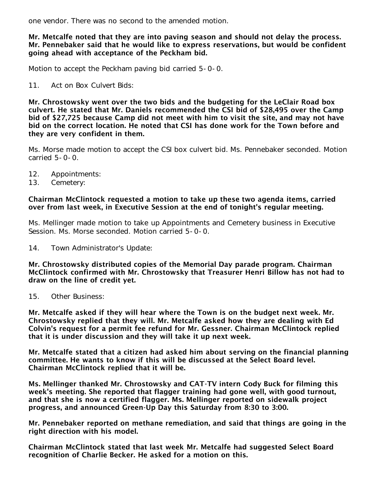one vendor. There was no second to the amended motion.

### Mr. Metcalfe noted that they are into paving season and should not delay the process. Mr. Pennebaker said that he would like to express reservations, but would be confident going ahead with acceptance of the Peckham bid.

Motion to accept the Peckham paving bid carried 5-0-0.

11. Act on Box Culvert Bids:

Mr. Chrostowsky went over the two bids and the budgeting for the LeClair Road box culvert. He stated that Mr. Daniels recommended the CSI bid of \$28,495 over the Camp bid of \$27,725 because Camp did not meet with him to visit the site, and may not have bid on the correct location. He noted that CSI has done work for the Town before and they are very confident in them.

Ms. Morse made motion to accept the CSI box culvert bid. Ms. Pennebaker seconded. Motion carried 5-0-0.

- 12. Appointments:<br>13. Cemetery:
- Cemetery:

### Chairman McClintock requested a motion to take up these two agenda items, carried over from last week, in Executive Session at the end of tonight's regular meeting.

Ms. Mellinger made motion to take up Appointments and Cemetery business in Executive Session. Ms. Morse seconded. Motion carried 5-0-0.

14. Town Administrator's Update:

Mr. Chrostowsky distributed copies of the Memorial Day parade program. Chairman McClintock confirmed with Mr. Chrostowsky that Treasurer Henri Billow has not had to draw on the line of credit yet.

15. Other Business:

Mr. Metcalfe asked if they will hear where the Town is on the budget next week. Mr. Chrostowsky replied that they will. Mr. Metcalfe asked how they are dealing with Ed Colvin's request for a permit fee refund for Mr. Gessner. Chairman McClintock replied that it is under discussion and they will take it up next week.

Mr. Metcalfe stated that a citizen had asked him about serving on the financial planning committee. He wants to know if this will be discussed at the Select Board level. Chairman McClintock replied that it will be.

Ms. Mellinger thanked Mr. Chrostowsky and CAT-TV intern Cody Buck for filming this week's meeting. She reported that flagger training had gone well, with good turnout, and that she is now a certified flagger. Ms. Mellinger reported on sidewalk project progress, and announced Green-Up Day this Saturday from 8:30 to 3:00.

Mr. Pennebaker reported on methane remediation, and said that things are going in the right direction with his model.

Chairman McClintock stated that last week Mr. Metcalfe had suggested Select Board recognition of Charlie Becker. He asked for a motion on this.